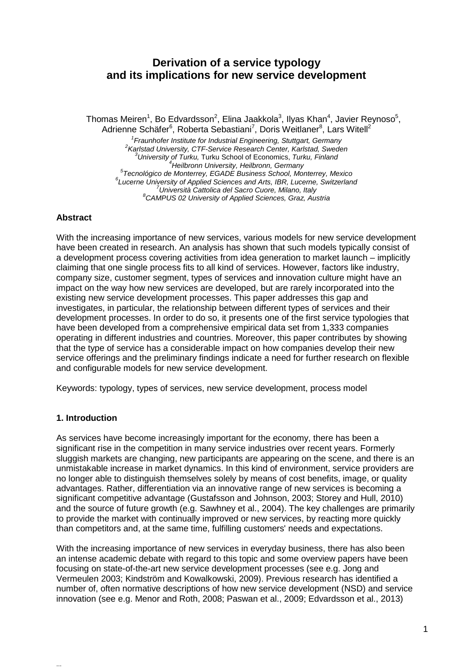# **Derivation of a service typology and its implications for new service development**

Thomas Meiren<sup>1</sup>, Bo Edvardsson<sup>2</sup>, Elina Jaakkola<sup>3</sup>, Ilyas Khan<sup>4</sup>, Javier Reynoso<sup>5</sup>, Adrienne Schäfer<sup>6</sup>, Roberta Sebastiani<sup>7</sup>, Doris Weitlaner<sup>8</sup>, Lars Witell<sup>2</sup>

<sup>1</sup> Fraunhofer Institute for Industrial Engineering, Stuttgart, Germany <sup>2</sup> Karlstad University, CTF-Service Research Center, Karlstad, Sweden *Karlstad University, CTF-Service Research Center, Karlstad, Sweden <sup>3</sup> University of Turku,* Turku School of Economics, *Turku, Finland <sup>4</sup> Heilbronn University, Heilbronn, Germany <sup>5</sup> Tecnológico de Monterrey, EGADE Business School, Monterrey, Mexico <sup>6</sup> Lucerne University of Applied Sciences and Arts, IBR, Lucerne, Switzerland <sup>7</sup> Università Cattolica del Sacro Cuore, Milano, Italy <sup>8</sup> CAMPUS 02 University of Applied Sciences, Graz, Austria*

## **Abstract**

With the increasing importance of new services, various models for new service development have been created in research. An analysis has shown that such models typically consist of a development process covering activities from idea generation to market launch – implicitly claiming that one single process fits to all kind of services. However, factors like industry, company size, customer segment, types of services and innovation culture might have an impact on the way how new services are developed, but are rarely incorporated into the existing new service development processes. This paper addresses this gap and investigates, in particular, the relationship between different types of services and their development processes. In order to do so, it presents one of the first service typologies that have been developed from a comprehensive empirical data set from 1,333 companies operating in different industries and countries. Moreover, this paper contributes by showing that the type of service has a considerable impact on how companies develop their new service offerings and the preliminary findings indicate a need for further research on flexible and configurable models for new service development.

Keywords: typology, types of services, new service development, process model

# **1. Introduction**

...

As services have become increasingly important for the economy, there has been a significant rise in the competition in many service industries over recent years. Formerly sluggish markets are changing, new participants are appearing on the scene, and there is an unmistakable increase in market dynamics. In this kind of environment, service providers are no longer able to distinguish themselves solely by means of cost benefits, image, or quality advantages. Rather, differentiation via an innovative range of new services is becoming a significant competitive advantage (Gustafsson and Johnson, 2003; Storey and Hull, 2010) and the source of future growth (e.g. Sawhney et al., 2004). The key challenges are primarily to provide the market with continually improved or new services, by reacting more quickly than competitors and, at the same time, fulfilling customers' needs and expectations.

With the increasing importance of new services in everyday business, there has also been an intense academic debate with regard to this topic and some overview papers have been focusing on state-of-the-art new service development processes (see e.g. Jong and Vermeulen 2003; Kindström and Kowalkowski, 2009). Previous research has identified a number of, often normative descriptions of how new service development (NSD) and service innovation (see e.g. Menor and Roth, 2008; Paswan et al., 2009; Edvardsson et al., 2013)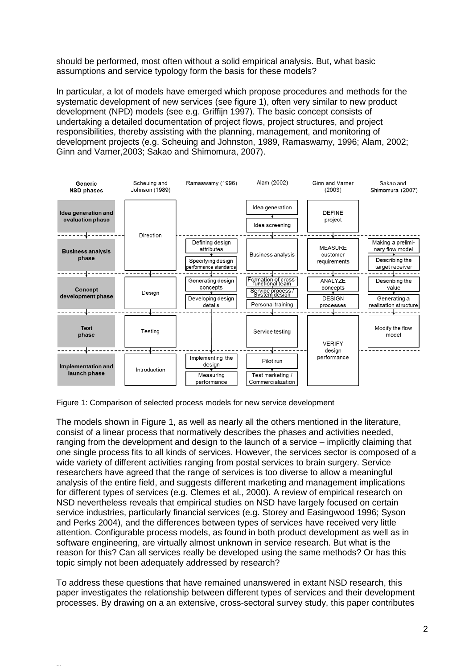should be performed, most often without a solid empirical analysis. But, what basic assumptions and service typology form the basis for these models?

In particular, a lot of models have emerged which propose procedures and methods for the systematic development of new services (see figure 1), often very similar to new product development (NPD) models (see e.g. Griffijn 1997). The basic concept consists of undertaking a detailed documentation of project flows, project structures, and project responsibilities, thereby assisting with the planning, management, and monitoring of development projects (e.g. Scheuing and Johnston, 1989, Ramaswamy, 1996; Alam, 2002; Ginn and Varner,2003; Sakao and Shimomura, 2007).



Figure 1: Comparison of selected process models for new service development

...

The models shown in Figure 1, as well as nearly all the others mentioned in the literature, consist of a linear process that normatively describes the phases and activities needed, ranging from the development and design to the launch of a service – implicitly claiming that one single process fits to all kinds of services. However, the services sector is composed of a wide variety of different activities ranging from postal services to brain surgery. Service researchers have agreed that the range of services is too diverse to allow a meaningful analysis of the entire field, and suggests different marketing and management implications for different types of services (e.g. Clemes et al., 2000). A review of empirical research on NSD nevertheless reveals that empirical studies on NSD have largely focused on certain service industries, particularly financial services (e.g. Storey and Easingwood 1996; Syson and Perks 2004), and the differences between types of services have received very little attention. Configurable process models, as found in both product development as well as in software engineering, are virtually almost unknown in service research. But what is the reason for this? Can all services really be developed using the same methods? Or has this topic simply not been adequately addressed by research?

To address these questions that have remained unanswered in extant NSD research, this paper investigates the relationship between different types of services and their development processes. By drawing on a an extensive, cross-sectoral survey study, this paper contributes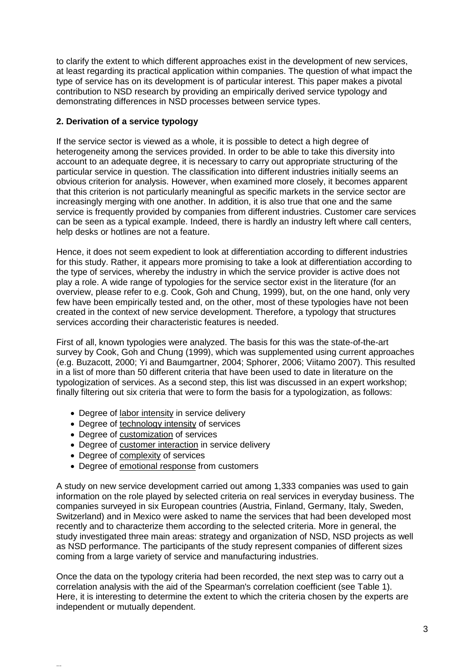to clarify the extent to which different approaches exist in the development of new services, at least regarding its practical application within companies. The question of what impact the type of service has on its development is of particular interest. This paper makes a pivotal contribution to NSD research by providing an empirically derived service typology and demonstrating differences in NSD processes between service types.

# **2. Derivation of a service typology**

If the service sector is viewed as a whole, it is possible to detect a high degree of heterogeneity among the services provided. In order to be able to take this diversity into account to an adequate degree, it is necessary to carry out appropriate structuring of the particular service in question. The classification into different industries initially seems an obvious criterion for analysis. However, when examined more closely, it becomes apparent that this criterion is not particularly meaningful as specific markets in the service sector are increasingly merging with one another. In addition, it is also true that one and the same service is frequently provided by companies from different industries. Customer care services can be seen as a typical example. Indeed, there is hardly an industry left where call centers, help desks or hotlines are not a feature.

Hence, it does not seem expedient to look at differentiation according to different industries for this study. Rather, it appears more promising to take a look at differentiation according to the type of services, whereby the industry in which the service provider is active does not play a role. A wide range of typologies for the service sector exist in the literature (for an overview, please refer to e.g. Cook, Goh and Chung, 1999), but, on the one hand, only very few have been empirically tested and, on the other, most of these typologies have not been created in the context of new service development. Therefore, a typology that structures services according their characteristic features is needed.

First of all, known typologies were analyzed. The basis for this was the state-of-the-art survey by Cook, Goh and Chung (1999), which was supplemented using current approaches (e.g. Buzacott, 2000; Yi and Baumgartner, 2004; Sphorer, 2006; Viitamo 2007). This resulted in a list of more than 50 different criteria that have been used to date in literature on the typologization of services. As a second step, this list was discussed in an expert workshop; finally filtering out six criteria that were to form the basis for a typologization, as follows:

- Degree of labor intensity in service delivery
- Degree of technology intensity of services
- Degree of customization of services
- Degree of customer interaction in service delivery
- Degree of complexity of services

...

• Degree of emotional response from customers

A study on new service development carried out among 1,333 companies was used to gain information on the role played by selected criteria on real services in everyday business. The companies surveyed in six European countries (Austria, Finland, Germany, Italy, Sweden, Switzerland) and in Mexico were asked to name the services that had been developed most recently and to characterize them according to the selected criteria. More in general, the study investigated three main areas: strategy and organization of NSD, NSD projects as well as NSD performance. The participants of the study represent companies of different sizes coming from a large variety of service and manufacturing industries.

Once the data on the typology criteria had been recorded, the next step was to carry out a correlation analysis with the aid of the Spearman's correlation coefficient (see Table 1). Here, it is interesting to determine the extent to which the criteria chosen by the experts are independent or mutually dependent.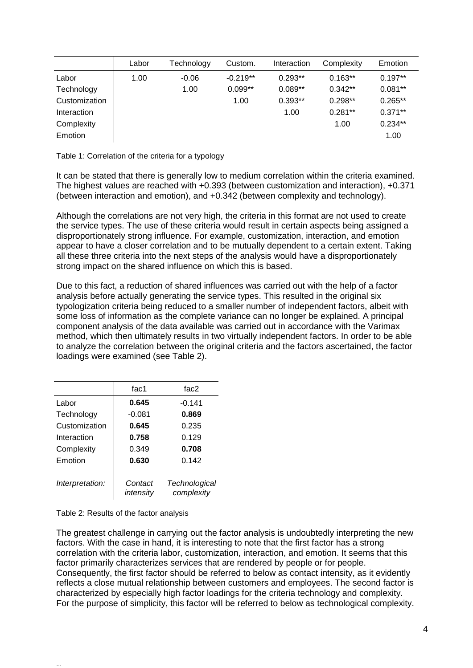|               | Labor | Technology | Custom.    | Interaction | Complexity | Emotion   |
|---------------|-------|------------|------------|-------------|------------|-----------|
| Labor         | 1.00  | $-0.06$    | $-0.219**$ | $0.293**$   | $0.163**$  | $0.197**$ |
| Technology    |       | 1.00       | $0.099**$  | $0.089**$   | $0.342**$  | $0.081**$ |
| Customization |       |            | 1.00       | $0.393**$   | $0.298**$  | $0.265**$ |
| Interaction   |       |            |            | 1.00        | $0.281**$  | $0.371**$ |
| Complexity    |       |            |            |             | 1.00       | $0.234**$ |
| Emotion       |       |            |            |             |            | 1.00      |

Table 1: Correlation of the criteria for a typology

It can be stated that there is generally low to medium correlation within the criteria examined. The highest values are reached with +0.393 (between customization and interaction), +0.371 (between interaction and emotion), and +0.342 (between complexity and technology).

Although the correlations are not very high, the criteria in this format are not used to create the service types. The use of these criteria would result in certain aspects being assigned a disproportionately strong influence. For example, customization, interaction, and emotion appear to have a closer correlation and to be mutually dependent to a certain extent. Taking all these three criteria into the next steps of the analysis would have a disproportionately strong impact on the shared influence on which this is based.

Due to this fact, a reduction of shared influences was carried out with the help of a factor analysis before actually generating the service types. This resulted in the original six typologization criteria being reduced to a smaller number of independent factors, albeit with some loss of information as the complete variance can no longer be explained. A principal component analysis of the data available was carried out in accordance with the Varimax method, which then ultimately results in two virtually independent factors. In order to be able to analyze the correlation between the original criteria and the factors ascertained, the factor loadings were examined (see Table 2).

|                 | fac1                 | fac2                        |
|-----------------|----------------------|-----------------------------|
| Labor           | 0.645                | $-0.141$                    |
| Technology      | $-0.081$             | 0.869                       |
| Customization   | 0.645                | 0.235                       |
| Interaction     | 0.758                | 0.129                       |
| Complexity      | 0.349                | 0.708                       |
| Emotion         | 0.630                | 0.142                       |
| Interpretation: | Contact<br>intensity | Technological<br>complexity |

Table 2: Results of the factor analysis

...

The greatest challenge in carrying out the factor analysis is undoubtedly interpreting the new factors. With the case in hand, it is interesting to note that the first factor has a strong correlation with the criteria labor, customization, interaction, and emotion. It seems that this factor primarily characterizes services that are rendered by people or for people. Consequently, the first factor should be referred to below as contact intensity, as it evidently reflects a close mutual relationship between customers and employees. The second factor is characterized by especially high factor loadings for the criteria technology and complexity. For the purpose of simplicity, this factor will be referred to below as technological complexity.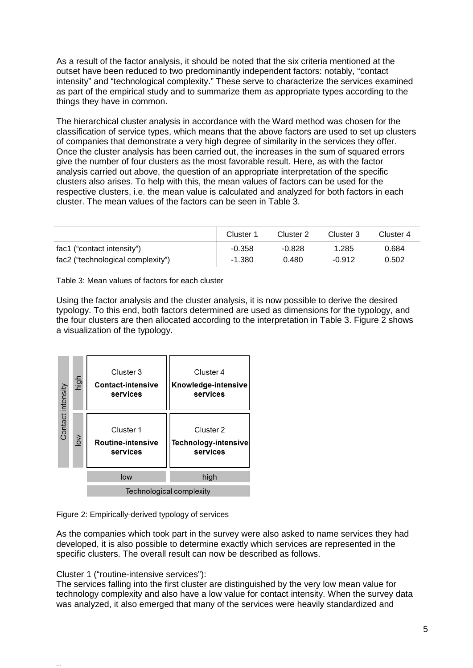As a result of the factor analysis, it should be noted that the six criteria mentioned at the outset have been reduced to two predominantly independent factors: notably, "contact intensity" and "technological complexity." These serve to characterize the services examined as part of the empirical study and to summarize them as appropriate types according to the things they have in common.

The hierarchical cluster analysis in accordance with the Ward method was chosen for the classification of service types, which means that the above factors are used to set up clusters of companies that demonstrate a very high degree of similarity in the services they offer. Once the cluster analysis has been carried out, the increases in the sum of squared errors give the number of four clusters as the most favorable result. Here, as with the factor analysis carried out above, the question of an appropriate interpretation of the specific clusters also arises. To help with this, the mean values of factors can be used for the respective clusters, i.e. the mean value is calculated and analyzed for both factors in each cluster. The mean values of the factors can be seen in Table 3.

|                                   | Cluster 1 | Cluster 2 | Cluster 3 | Cluster 4 |
|-----------------------------------|-----------|-----------|-----------|-----------|
| fac1 ("contact intensity")        | $-0.358$  | $-0.828$  | 1.285     | 0.684     |
| fac2 ("technological complexity") | $-1.380$  | 0.480     | $-0.912$  | 0.502     |

Table 3: Mean values of factors for each cluster

Using the factor analysis and the cluster analysis, it is now possible to derive the desired typology. To this end, both factors determined are used as dimensions for the typology, and the four clusters are then allocated according to the interpretation in Table 3. Figure 2 shows a visualization of the typology.

|                   | high   | Cluster 3<br><b>Contact-intensive</b><br>services | Cluster 4<br>Knowledge-intensive<br>services  |  |  |
|-------------------|--------|---------------------------------------------------|-----------------------------------------------|--|--|
| Contact intensity | $\geq$ | Cluster 1<br>Routine-intensive<br>services        | Cluster 2<br>Technology-intensive<br>services |  |  |
|                   |        | low                                               | high                                          |  |  |
|                   |        | Technological complexity                          |                                               |  |  |

Figure 2: Empirically-derived typology of services

As the companies which took part in the survey were also asked to name services they had developed, it is also possible to determine exactly which services are represented in the specific clusters. The overall result can now be described as follows.

Cluster 1 ("routine-intensive services"):

...

The services falling into the first cluster are distinguished by the very low mean value for technology complexity and also have a low value for contact intensity. When the survey data was analyzed, it also emerged that many of the services were heavily standardized and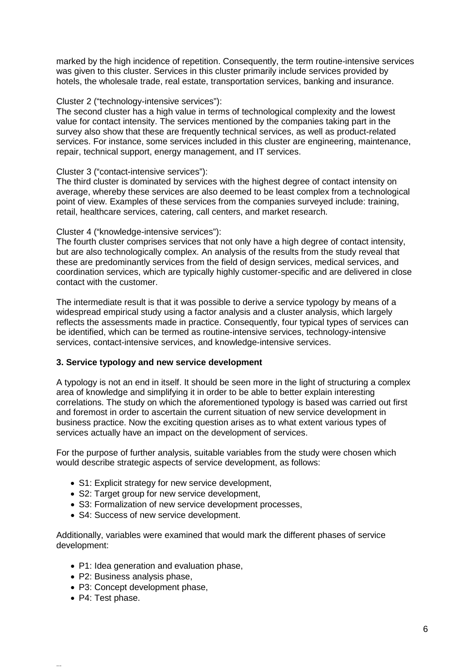marked by the high incidence of repetition. Consequently, the term routine-intensive services was given to this cluster. Services in this cluster primarily include services provided by hotels, the wholesale trade, real estate, transportation services, banking and insurance.

#### Cluster 2 ("technology-intensive services"):

The second cluster has a high value in terms of technological complexity and the lowest value for contact intensity. The services mentioned by the companies taking part in the survey also show that these are frequently technical services, as well as product-related services. For instance, some services included in this cluster are engineering, maintenance, repair, technical support, energy management, and IT services.

#### Cluster 3 ("contact-intensive services"):

The third cluster is dominated by services with the highest degree of contact intensity on average, whereby these services are also deemed to be least complex from a technological point of view. Examples of these services from the companies surveyed include: training, retail, healthcare services, catering, call centers, and market research.

#### Cluster 4 ("knowledge-intensive services"):

The fourth cluster comprises services that not only have a high degree of contact intensity, but are also technologically complex. An analysis of the results from the study reveal that these are predominantly services from the field of design services, medical services, and coordination services, which are typically highly customer-specific and are delivered in close contact with the customer.

The intermediate result is that it was possible to derive a service typology by means of a widespread empirical study using a factor analysis and a cluster analysis, which largely reflects the assessments made in practice. Consequently, four typical types of services can be identified, which can be termed as routine-intensive services, technology-intensive services, contact-intensive services, and knowledge-intensive services.

### **3. Service typology and new service development**

A typology is not an end in itself. It should be seen more in the light of structuring a complex area of knowledge and simplifying it in order to be able to better explain interesting correlations. The study on which the aforementioned typology is based was carried out first and foremost in order to ascertain the current situation of new service development in business practice. Now the exciting question arises as to what extent various types of services actually have an impact on the development of services.

For the purpose of further analysis, suitable variables from the study were chosen which would describe strategic aspects of service development, as follows:

- S1: Explicit strategy for new service development,
- S2: Target group for new service development,
- S3: Formalization of new service development processes,
- S4: Success of new service development.

Additionally, variables were examined that would mark the different phases of service development:

- P1: Idea generation and evaluation phase,
- P2: Business analysis phase,
- P3: Concept development phase,
- P4: Test phase.

...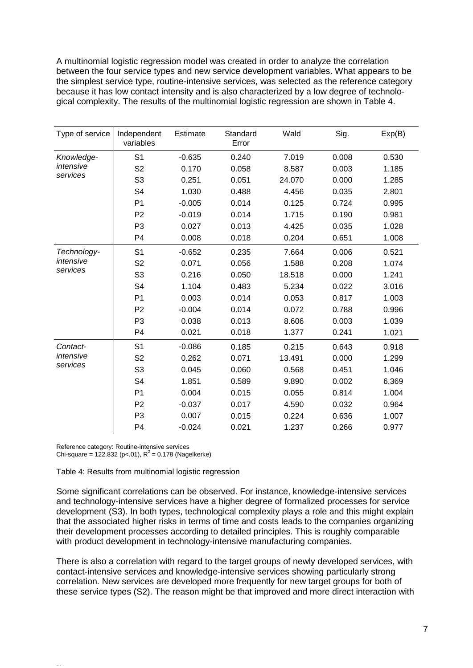A multinomial logistic regression model was created in order to analyze the correlation between the four service types and new service development variables. What appears to be the simplest service type, routine-intensive services, was selected as the reference category because it has low contact intensity and is also characterized by a low degree of technological complexity. The results of the multinomial logistic regression are shown in Table 4.

| Type of service       | Independent<br>variables | Estimate | Standard<br>Error | Wald   | Sig.  | Exp(B) |
|-----------------------|--------------------------|----------|-------------------|--------|-------|--------|
| Knowledge-            | S <sub>1</sub>           | $-0.635$ | 0.240             | 7.019  | 0.008 | 0.530  |
| intensive             | S <sub>2</sub>           | 0.170    | 0.058             | 8.587  | 0.003 | 1.185  |
| services              | S <sub>3</sub>           | 0.251    | 0.051             | 24.070 | 0.000 | 1.285  |
|                       | S <sub>4</sub>           | 1.030    | 0.488             | 4.456  | 0.035 | 2.801  |
|                       | P <sub>1</sub>           | $-0.005$ | 0.014             | 0.125  | 0.724 | 0.995  |
|                       | P <sub>2</sub>           | $-0.019$ | 0.014             | 1.715  | 0.190 | 0.981  |
|                       | P <sub>3</sub>           | 0.027    | 0.013             | 4.425  | 0.035 | 1.028  |
|                       | P <sub>4</sub>           | 0.008    | 0.018             | 0.204  | 0.651 | 1.008  |
| Technology-           | S <sub>1</sub>           | $-0.652$ | 0.235             | 7.664  | 0.006 | 0.521  |
| intensive             | S <sub>2</sub>           | 0.071    | 0.056             | 1.588  | 0.208 | 1.074  |
| services              | S <sub>3</sub>           | 0.216    | 0.050             | 18.518 | 0.000 | 1.241  |
|                       | S <sub>4</sub>           | 1.104    | 0.483             | 5.234  | 0.022 | 3.016  |
|                       | P <sub>1</sub>           | 0.003    | 0.014             | 0.053  | 0.817 | 1.003  |
|                       | P <sub>2</sub>           | $-0.004$ | 0.014             | 0.072  | 0.788 | 0.996  |
|                       | P <sub>3</sub>           | 0.038    | 0.013             | 8.606  | 0.003 | 1.039  |
|                       | P <sub>4</sub>           | 0.021    | 0.018             | 1.377  | 0.241 | 1.021  |
| Contact-              | S <sub>1</sub>           | $-0.086$ | 0.185             | 0.215  | 0.643 | 0.918  |
| intensive<br>services | S <sub>2</sub>           | 0.262    | 0.071             | 13.491 | 0.000 | 1.299  |
|                       | S <sub>3</sub>           | 0.045    | 0.060             | 0.568  | 0.451 | 1.046  |
|                       | S <sub>4</sub>           | 1.851    | 0.589             | 9.890  | 0.002 | 6.369  |
|                       | P <sub>1</sub>           | 0.004    | 0.015             | 0.055  | 0.814 | 1.004  |
|                       | P <sub>2</sub>           | $-0.037$ | 0.017             | 4.590  | 0.032 | 0.964  |
|                       | P <sub>3</sub>           | 0.007    | 0.015             | 0.224  | 0.636 | 1.007  |
|                       | P <sub>4</sub>           | $-0.024$ | 0.021             | 1.237  | 0.266 | 0.977  |

Reference category: Routine-intensive services Chi-square =  $122.832$  (p<.01),  $R^2$  = 0.178 (Nagelkerke)

...

Table 4: Results from multinomial logistic regression

Some significant correlations can be observed. For instance, knowledge-intensive services and technology-intensive services have a higher degree of formalized processes for service development (S3). In both types, technological complexity plays a role and this might explain that the associated higher risks in terms of time and costs leads to the companies organizing their development processes according to detailed principles. This is roughly comparable with product development in technology-intensive manufacturing companies.

There is also a correlation with regard to the target groups of newly developed services, with contact-intensive services and knowledge-intensive services showing particularly strong correlation. New services are developed more frequently for new target groups for both of these service types (S2). The reason might be that improved and more direct interaction with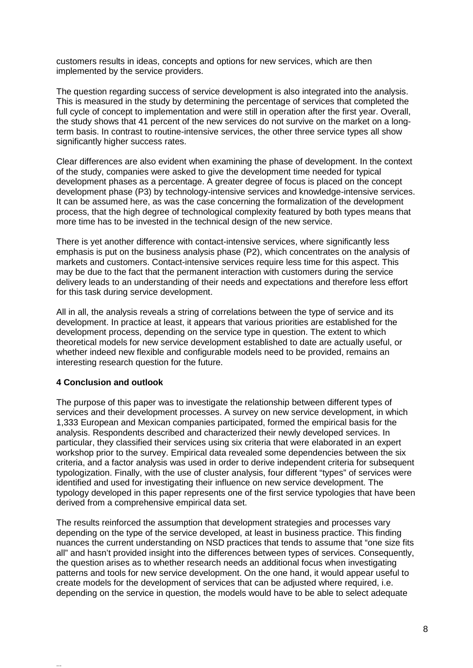customers results in ideas, concepts and options for new services, which are then implemented by the service providers.

The question regarding success of service development is also integrated into the analysis. This is measured in the study by determining the percentage of services that completed the full cycle of concept to implementation and were still in operation after the first year. Overall, the study shows that 41 percent of the new services do not survive on the market on a longterm basis. In contrast to routine-intensive services, the other three service types all show significantly higher success rates.

Clear differences are also evident when examining the phase of development. In the context of the study, companies were asked to give the development time needed for typical development phases as a percentage. A greater degree of focus is placed on the concept development phase (P3) by technology-intensive services and knowledge-intensive services. It can be assumed here, as was the case concerning the formalization of the development process, that the high degree of technological complexity featured by both types means that more time has to be invested in the technical design of the new service.

There is yet another difference with contact-intensive services, where significantly less emphasis is put on the business analysis phase (P2), which concentrates on the analysis of markets and customers. Contact-intensive services require less time for this aspect. This may be due to the fact that the permanent interaction with customers during the service delivery leads to an understanding of their needs and expectations and therefore less effort for this task during service development.

All in all, the analysis reveals a string of correlations between the type of service and its development. In practice at least, it appears that various priorities are established for the development process, depending on the service type in question. The extent to which theoretical models for new service development established to date are actually useful, or whether indeed new flexible and configurable models need to be provided, remains an interesting research question for the future.

### **4 Conclusion and outlook**

...

The purpose of this paper was to investigate the relationship between different types of services and their development processes. A survey on new service development, in which 1,333 European and Mexican companies participated, formed the empirical basis for the analysis. Respondents described and characterized their newly developed services. In particular, they classified their services using six criteria that were elaborated in an expert workshop prior to the survey. Empirical data revealed some dependencies between the six criteria, and a factor analysis was used in order to derive independent criteria for subsequent typologization. Finally, with the use of cluster analysis, four different "types" of services were identified and used for investigating their influence on new service development. The typology developed in this paper represents one of the first service typologies that have been derived from a comprehensive empirical data set.

The results reinforced the assumption that development strategies and processes vary depending on the type of the service developed, at least in business practice. This finding nuances the current understanding on NSD practices that tends to assume that "one size fits all" and hasn't provided insight into the differences between types of services. Consequently, the question arises as to whether research needs an additional focus when investigating patterns and tools for new service development. On the one hand, it would appear useful to create models for the development of services that can be adjusted where required, i.e. depending on the service in question, the models would have to be able to select adequate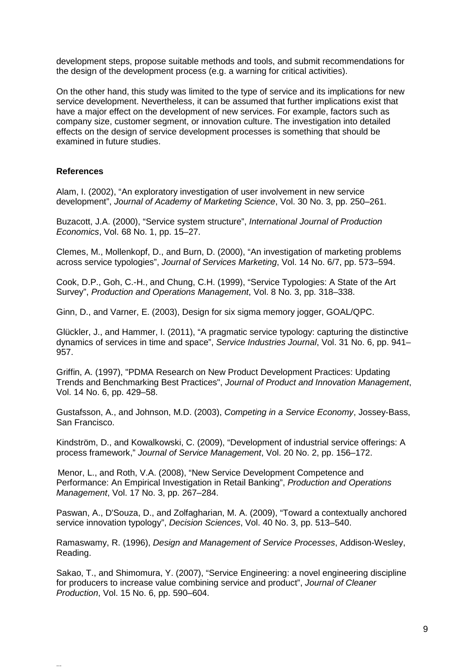development steps, propose suitable methods and tools, and submit recommendations for the design of the development process (e.g. a warning for critical activities).

On the other hand, this study was limited to the type of service and its implications for new service development. Nevertheless, it can be assumed that further implications exist that have a major effect on the development of new services. For example, factors such as company size, customer segment, or innovation culture. The investigation into detailed effects on the design of service development processes is something that should be examined in future studies.

#### **References**

...

Alam, I. (2002), "An exploratory investigation of user involvement in new service development", *Journal of Academy of Marketing Science*, Vol. 30 No. 3, pp. 250–261.

Buzacott, J.A. (2000), "Service system structure", *International Journal of Production Economics*, Vol. 68 No. 1, pp. 15–27.

Clemes, M., Mollenkopf, D., and Burn, D. (2000), "An investigation of marketing problems across service typologies", *Journal of Services Marketing*, Vol. 14 No. 6/7, pp. 573–594.

Cook, D.P., Goh, C.-H., and Chung, C.H. (1999), "Service Typologies: A State of the Art Survey", *Production and Operations Management*, Vol. 8 No. 3, pp. 318–338.

Ginn, D., and Varner, E. (2003), Design for six sigma memory jogger, GOAL/QPC.

Glückler, J., and Hammer, I. (2011), "A pragmatic service typology: capturing the distinctive dynamics of services in time and space", *[Service Industries Journal](http://www.researchgate.net/journal/0264-2069_Service_Industries_Journal)*, Vol. 31 No. 6, pp. 941– 957.

Griffin, A. (1997), "PDMA Research on New Product Development Practices: Updating Trends and Benchmarking Best Practices", *Journal of Product and Innovation Management*, Vol. 14 No. 6, pp. 429–58.

Gustafsson, A., and Johnson, M.D. (2003), *Competing in a Service Economy*, Jossey-Bass, San Francisco.

Kindström, D., and Kowalkowski, C. (2009), "Development of industrial service offerings: A process framework," *Journal of Service Management*, Vol. 20 No. 2, pp. 156–172.

Menor, L., and Roth, V.A. (2008), "New Service Development Competence and Performance: An Empirical Investigation in Retail Banking", *Production and Operations Management*, Vol. 17 No. 3, pp. 267–284.

Paswan, A., D'Souza, D., and Zolfagharian, M. A. (2009), "Toward a contextually anchored service innovation typology", *Decision Sciences*, Vol. 40 No. 3, pp. 513–540.

Ramaswamy, R. (1996), *Design and Management of Service Processes*, Addison-Wesley, Reading.

Sakao, T., and Shimomura, Y. (2007), "Service Engineering: a novel engineering discipline for producers to increase value combining service and product", *Journal of Cleaner Production*, Vol. 15 No. 6, pp. 590–604.